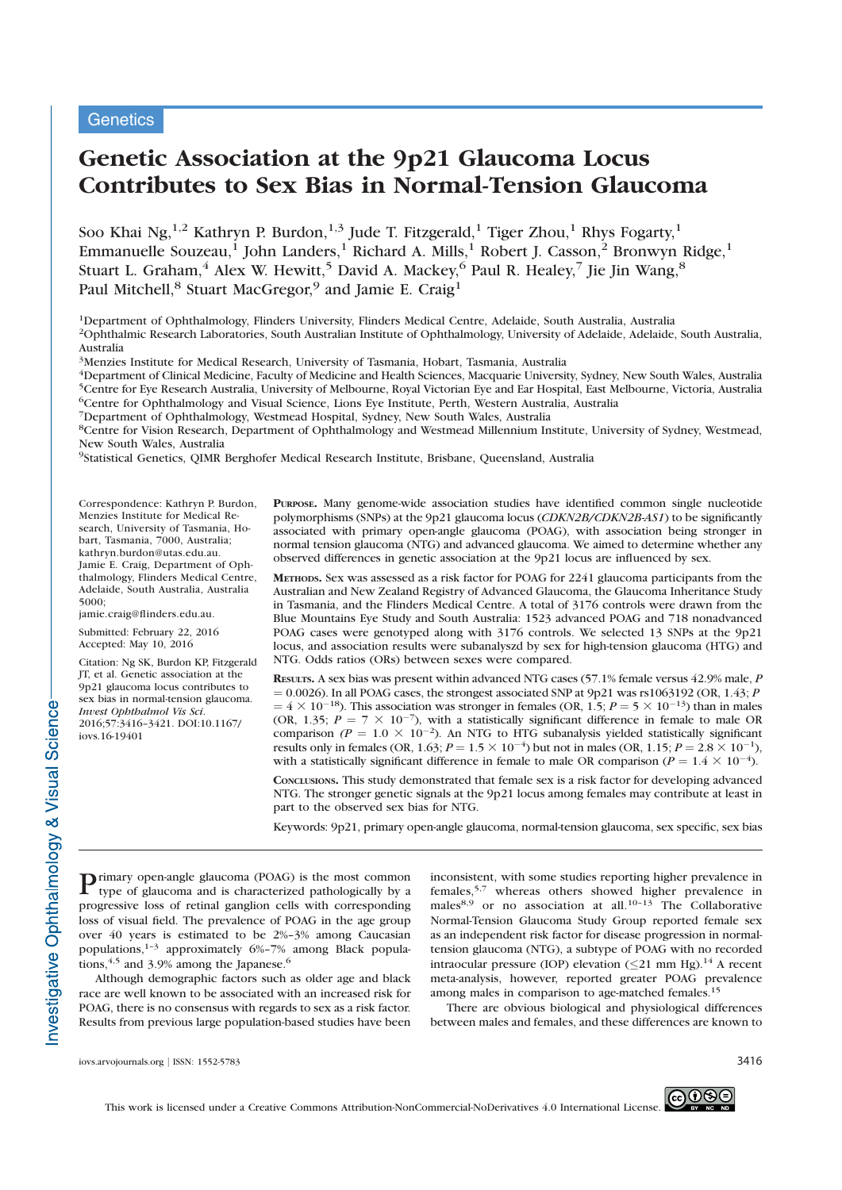**Genetics** 

# Genetic Association at the 9p21 Glaucoma Locus Contributes to Sex Bias in Normal-Tension Glaucoma

Soo Khai Ng,<sup>1,2</sup> Kathryn P. Burdon,<sup>1,3</sup> Jude T. Fitzgerald,<sup>1</sup> Tiger Zhou,<sup>1</sup> Rhys Fogarty,<sup>1</sup> Emmanuelle Souzeau,<sup>1</sup> John Landers,<sup>1</sup> Richard A. Mills,<sup>1</sup> Robert J. Casson,<sup>2</sup> Bronwyn Ridge,<sup>1</sup> Stuart L. Graham,<sup>4</sup> Alex W. Hewitt,<sup>5</sup> David A. Mackey,<sup>6</sup> Paul R. Healey,<sup>7</sup> Jie Jin Wang,<sup>8</sup> Paul Mitchell,<sup>8</sup> Stuart MacGregor,<sup>9</sup> and Jamie E. Craig<sup>1</sup>

1Department of Ophthalmology, Flinders University, Flinders Medical Centre, Adelaide, South Australia, Australia 2Ophthalmic Research Laboratories, South Australian Institute of Ophthalmology, University of Adelaide, Adelaide, South Australia, Australia

3Menzies Institute for Medical Research, University of Tasmania, Hobart, Tasmania, Australia

4Department of Clinical Medicine, Faculty of Medicine and Health Sciences, Macquarie University, Sydney, New South Wales, Australia 5Centre for Eye Research Australia, University of Melbourne, Royal Victorian Eye and Ear Hospital, East Melbourne, Victoria, Australia 6Centre for Ophthalmology and Visual Science, Lions Eye Institute, Perth, Western Australia, Australia

7Department of Ophthalmology, Westmead Hospital, Sydney, New South Wales, Australia

8Centre for Vision Research, Department of Ophthalmology and Westmead Millennium Institute, University of Sydney, Westmead, New South Wales, Australia

9Statistical Genetics, QIMR Berghofer Medical Research Institute, Brisbane, Queensland, Australia

Correspondence: Kathryn P. Burdon, Menzies Institute for Medical Research, University of Tasmania, Hobart, Tasmania, 7000, Australia; kathryn.burdon@utas.edu.au. Jamie E. Craig, Department of Ophthalmology, Flinders Medical Centre, Adelaide, South Australia, Australia 5000;

jamie.craig@flinders.edu.au.

Submitted: February 22, 2016 Accepted: May 10, 2016

Citation: Ng SK, Burdon KP, Fitzgerald JT, et al. Genetic association at the 9p21 glaucoma locus contributes to sex bias in normal-tension glaucoma. Invest Ophthalmol Vis Sci. 2016;57:3416–3421. DOI:10.1167/ iovs.16-19401

PURPOSE. Many genome-wide association studies have identified common single nucleotide polymorphisms (SNPs) at the 9p21 glaucoma locus (CDKN2B/CDKN2B-AS1) to be significantly associated with primary open-angle glaucoma (POAG), with association being stronger in normal tension glaucoma (NTG) and advanced glaucoma. We aimed to determine whether any observed differences in genetic association at the 9p21 locus are influenced by sex.

METHODS. Sex was assessed as a risk factor for POAG for 2241 glaucoma participants from the Australian and New Zealand Registry of Advanced Glaucoma, the Glaucoma Inheritance Study in Tasmania, and the Flinders Medical Centre. A total of 3176 controls were drawn from the Blue Mountains Eye Study and South Australia: 1523 advanced POAG and 718 nonadvanced POAG cases were genotyped along with 3176 controls. We selected 13 SNPs at the 9p21 locus, and association results were subanalyszd by sex for high-tension glaucoma (HTG) and NTG. Odds ratios (ORs) between sexes were compared.

RESULTS. A sex bias was present within advanced NTG cases (57.1% female versus 42.9% male, P  $= 0.0026$ ). In all POAG cases, the strongest associated SNP at 9p21 was rs1063192 (OR, 1.43; P  $= 4 \times 10^{-1}$ <br>(OR 135: <sup>18</sup>). This association was stronger in females (OR, 1.5;  $P = 5 \times 10^{-13}$ ) than in males  $P = 7 \times 10^{-7}$ ) with a statistically significant difference in female to male OR (OR, 1.35;  $P = 7 \times 10^{-7}$ ), with a statistically significant difference in female to male OR comparison  $(P = 1.0 \times 10^{-2})$ . An NTG to HTG subanalysis vielded statistically significant comparison ( $P = 1.0 \times 10^{-2}$ ). An NTG to HTG subanalysis yielded statistically significant<br>results only in females (OR 1.63;  $P = 1.5 \times 10^{-4}$ ) but not in males (OR 1.15;  $P = 2.8 \times 10^{-1}$ ) results only in females (OR, 1.63;  $P = 1.5 \times 10^{-4}$ ) but not in males (OR, 1.15;  $P = 2.8 \times 10^{-1}$ ), with a statistically significant difference in female to male OR comparison ( $P = 1.4 \times 10^{-4}$ ). with a statistically significant difference in female to male OR comparison ( $P = 1.4 \times 10^{-4}$ ).

CONCLUSIONS. This study demonstrated that female sex is a risk factor for developing advanced NTG. The stronger genetic signals at the 9p21 locus among females may contribute at least in part to the observed sex bias for NTG.

Keywords: 9p21, primary open-angle glaucoma, normal-tension glaucoma, sex specific, sex bias

Primary open-angle glaucoma (POAG) is the most common type of glaucoma and is characterized pathologically by a progressive loss of retinal ganglion cells with corresponding loss of visual field. The prevalence of POAG in the age group over 40 years is estimated to be 2%–3% among Caucasian populations,1–3 approximately 6%–7% among Black populations,  $4.5$  and 3.9% among the Japanese.<sup>6</sup>

Although demographic factors such as older age and black race are well known to be associated with an increased risk for POAG, there is no consensus with regards to sex as a risk factor. Results from previous large population-based studies have been inconsistent, with some studies reporting higher prevalence in females,5,7 whereas others showed higher prevalence in males<sup>8,9</sup> or no association at all.<sup>10-13</sup> The Collaborative Normal-Tension Glaucoma Study Group reported female sex as an independent risk factor for disease progression in normaltension glaucoma (NTG), a subtype of POAG with no recorded intraocular pressure (IOP) elevation  $( $21 \text{ mm Hg}$ ).<sup>14</sup> A recent$ meta-analysis, however, reported greater POAG prevalence among males in comparison to age-matched females.<sup>15</sup>

There are obvious biological and physiological differences between males and females, and these differences are known to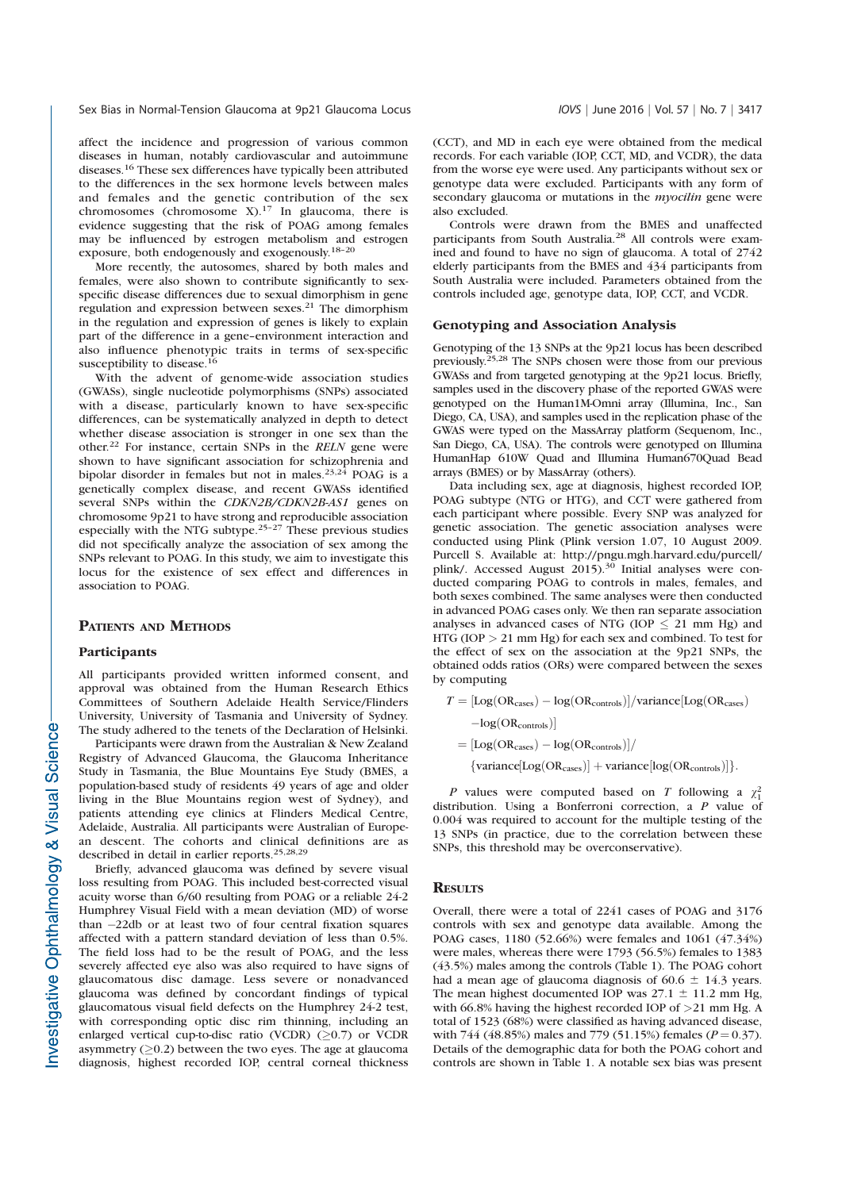affect the incidence and progression of various common diseases in human, notably cardiovascular and autoimmune diseases.<sup>16</sup> These sex differences have typically been attributed to the differences in the sex hormone levels between males and females and the genetic contribution of the sex chromosomes (chromosome  $X$ ).<sup>17</sup> In glaucoma, there is evidence suggesting that the risk of POAG among females may be influenced by estrogen metabolism and estrogen exposure, both endogenously and exogenously.18–20

More recently, the autosomes, shared by both males and females, were also shown to contribute significantly to sexspecific disease differences due to sexual dimorphism in gene regulation and expression between sexes.<sup>21</sup> The dimorphism in the regulation and expression of genes is likely to explain part of the difference in a gene–environment interaction and also influence phenotypic traits in terms of sex-specific susceptibility to disease.<sup>16</sup>

With the advent of genome-wide association studies (GWASs), single nucleotide polymorphisms (SNPs) associated with a disease, particularly known to have sex-specific differences, can be systematically analyzed in depth to detect whether disease association is stronger in one sex than the other.22 For instance, certain SNPs in the RELN gene were shown to have significant association for schizophrenia and bipolar disorder in females but not in males.<sup>23,24</sup> POAG is a genetically complex disease, and recent GWASs identified several SNPs within the CDKN2B/CDKN2B-AS1 genes on chromosome 9p21 to have strong and reproducible association especially with the NTG subtype.25–27 These previous studies did not specifically analyze the association of sex among the SNPs relevant to POAG. In this study, we aim to investigate this locus for the existence of sex effect and differences in association to POAG.

## PATIENTS AND METHODS

#### Participants

All participants provided written informed consent, and approval was obtained from the Human Research Ethics Committees of Southern Adelaide Health Service/Flinders University, University of Tasmania and University of Sydney. The study adhered to the tenets of the Declaration of Helsinki.

Participants were drawn from the Australian & New Zealand Registry of Advanced Glaucoma, the Glaucoma Inheritance Study in Tasmania, the Blue Mountains Eye Study (BMES, a population-based study of residents 49 years of age and older living in the Blue Mountains region west of Sydney), and patients attending eye clinics at Flinders Medical Centre, Adelaide, Australia. All participants were Australian of European descent. The cohorts and clinical definitions are as described in detail in earlier reports.25,28,29

Briefly, advanced glaucoma was defined by severe visual loss resulting from POAG. This included best-corrected visual acuity worse than 6/60 resulting from POAG or a reliable 24-2 Humphrey Visual Field with a mean deviation (MD) of worse than -22db or at least two of four central fixation squares<br>affected with a pattern standard deviation of less than 0.5% affected with a pattern standard deviation of less than 0.5%. The field loss had to be the result of POAG, and the less severely affected eye also was also required to have signs of glaucomatous disc damage. Less severe or nonadvanced glaucoma was defined by concordant findings of typical glaucomatous visual field defects on the Humphrey 24-2 test, with corresponding optic disc rim thinning, including an enlarged vertical cup-to-disc ratio (VCDR)  $(>0.7)$  or VCDR asymmetry  $(≥0.2)$  between the two eyes. The age at glaucoma diagnosis, highest recorded IOP, central corneal thickness

(CCT), and MD in each eye were obtained from the medical records. For each variable (IOP, CCT, MD, and VCDR), the data from the worse eye were used. Any participants without sex or genotype data were excluded. Participants with any form of secondary glaucoma or mutations in the *myocilin* gene were also excluded.

Controls were drawn from the BMES and unaffected participants from South Australia.<sup>28</sup> All controls were examined and found to have no sign of glaucoma. A total of 2742 elderly participants from the BMES and 434 participants from South Australia were included. Parameters obtained from the controls included age, genotype data, IOP, CCT, and VCDR.

#### Genotyping and Association Analysis

Genotyping of the 13 SNPs at the 9p21 locus has been described previously.25,28 The SNPs chosen were those from our previous GWASs and from targeted genotyping at the 9p21 locus. Briefly, samples used in the discovery phase of the reported GWAS were genotyped on the Human1M-Omni array (Illumina, Inc., San Diego, CA, USA), and samples used in the replication phase of the GWAS were typed on the MassArray platform (Sequenom, Inc., San Diego, CA, USA). The controls were genotyped on Illumina HumanHap 610W Quad and Illumina Human670Quad Bead arrays (BMES) or by MassArray (others).

Data including sex, age at diagnosis, highest recorded IOP, POAG subtype (NTG or HTG), and CCT were gathered from each participant where possible. Every SNP was analyzed for genetic association. The genetic association analyses were conducted using Plink (Plink version 1.07, 10 August 2009. Purcell S. Available at: http://pngu.mgh.harvard.edu/purcell/ plink/. Accessed August 2015).<sup>30</sup> Initial analyses were conducted comparing POAG to controls in males, females, and both sexes combined. The same analyses were then conducted in advanced POAG cases only. We then ran separate association analyses in advanced cases of NTG (IOP  $\leq$  21 mm Hg) and HTG (IOP > 21 mm Hg) for each sex and combined. To test for the effect of sex on the association at the 9p21 SNPs, the obtained odds ratios (ORs) were compared between the sexes by computing

$$
T = [Log(ORcases) - log(ORcontrols)]/variance[Log(ORcases)-log(ORcontrols)]
$$
  
= [Log(OR<sub>cases</sub>) - log(OR<sub>controls</sub>)]/  
{variance[Log(OR<sub>cases</sub>)] + variance[log(OR<sub>controls</sub>)]}.

P values were computed based on T following a  $\chi_1^2$ distribution. Using a Bonferroni correction, a P value of 0.004 was required to account for the multiple testing of the 13 SNPs (in practice, due to the correlation between these SNPs, this threshold may be overconservative).

## **RESULTS**

Overall, there were a total of 2241 cases of POAG and 3176 controls with sex and genotype data available. Among the POAG cases, 1180 (52.66%) were females and 1061 (47.34%) were males, whereas there were 1793 (56.5%) females to 1383 (43.5%) males among the controls (Table 1). The POAG cohort had a mean age of glaucoma diagnosis of  $60.6 \pm 14.3$  years. The mean highest documented IOP was  $27.1 \pm 11.2$  mm Hg, with 66.8% having the highest recorded IOP of >21 mm Hg. A total of 1523 (68%) were classified as having advanced disease, with 744 (48.85%) males and 779 (51.15%) females ( $P = 0.37$ ). Details of the demographic data for both the POAG cohort and controls are shown in Table 1. A notable sex bias was present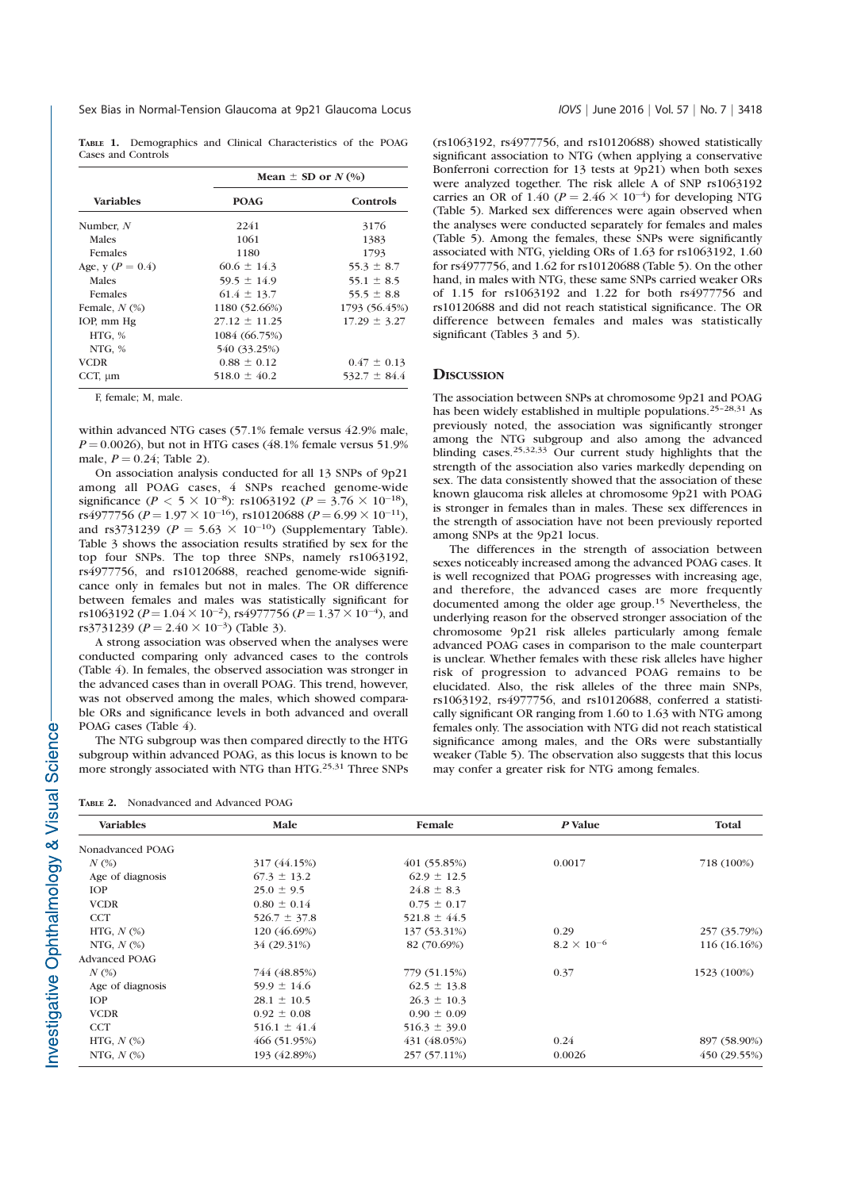TABLE 1. Demographics and Clinical Characteristics of the POAG Cases and Controls

|                      | Mean $\pm$ SD or $N(\%)$ |                  |  |  |  |
|----------------------|--------------------------|------------------|--|--|--|
| <b>Variables</b>     | <b>POAG</b>              | Controls         |  |  |  |
| Number, $N$          | 2241                     | 3176             |  |  |  |
| Males                | 1061                     | 1383             |  |  |  |
| <b>Females</b>       | 1180                     | 1793             |  |  |  |
| Age, y ( $P = 0.4$ ) | $60.6 \pm 14.3$          | $55.3 \pm 8.7$   |  |  |  |
| Males                | $59.5 \pm 14.9$          | $55.1 \pm 8.5$   |  |  |  |
| <b>Females</b>       | $61.4 \pm 13.7$          | 55.5 $\pm$ 8.8   |  |  |  |
| Female, $N$ $(\%)$   | 1180 (52.66%)            | 1793 (56.45%)    |  |  |  |
| IOP, mm Hg           | $27.12 \pm 11.25$        | $17.29 \pm 3.27$ |  |  |  |
| HTG, %               | 1084 (66.75%)            |                  |  |  |  |
| NTG, %               | 540 (33.25%)             |                  |  |  |  |
| <b>VCDR</b>          | $0.88 \pm 0.12$          | $0.47 \pm 0.13$  |  |  |  |
| CCT, $\mu$ m         | $518.0 \pm 40.2$         | $532.7 \pm 84.4$ |  |  |  |

F, female; M, male.

within advanced NTG cases (57.1% female versus 42.9% male,  $P = 0.0026$ ), but not in HTG cases (48.1% female versus 51.9% male,  $P = 0.24$ ; Table 2).

On association analysis conducted for all 13 SNPs of 9p21 among all POAG cases, 4 SNPs reached genome-wide significance  $(P < 5 \times 10^{-8})$ : rs1063192  $(P = 3.76 \times 10^{-18})$ ,<br>rs4977756  $(P - 1.97 \times 10^{-16})$ , rs10120688  $(P - 6.99 \times 10^{-11})$ rs4977756 ( $P = 1.97 \times 10^{-16}$ ), rs10120688 ( $P = 6.99 \times 10^{-11}$ ),<br>and rs3731239 ( $P = 5.63 \times 10^{-10}$ ) (Supplementary Table) and rs3731239 ( $P = 5.63 \times 10^{-10}$ ) (Supplementary Table).<br>Table 3 shows the association results stratified by sex for the Table 3 shows the association results stratified by sex for the top four SNPs. The top three SNPs, namely rs1063192, rs4977756, and rs10120688, reached genome-wide significance only in females but not in males. The OR difference between females and males was statistically significant for rs1063192 ( $P = 1.04 \times 10^{-2}$ ), rs4977756 ( $P = 1.37 \times 10^{-4}$ ), and<br>rs3731239 ( $P = 2.40 \times 10^{-3}$ ) (Table 3) rs3731239 ( $P = 2.40 \times 10^{-3}$ ) (Table 3).

A strong association was observed when the analyses were conducted comparing only advanced cases to the controls (Table 4). In females, the observed association was stronger in the advanced cases than in overall POAG. This trend, however, was not observed among the males, which showed comparable ORs and significance levels in both advanced and overall POAG cases (Table 4).

The NTG subgroup was then compared directly to the HTG subgroup within advanced POAG, as this locus is known to be more strongly associated with NTG than HTG.<sup>25,31</sup> Three SNPs

TABLE 2. Nonadvanced and Advanced POAG

(rs1063192, rs4977756, and rs10120688) showed statistically significant association to NTG (when applying a conservative Bonferroni correction for 13 tests at 9p21) when both sexes were analyzed together. The risk allele A of SNP rs1063192 carries an OR of 1.40 ( $P = 2.46 \times 10^{-4}$ ) for developing NTG<br>(Table 5). Marked sex differences were again observed when (Table 5). Marked sex differences were again observed when the analyses were conducted separately for females and males (Table 5). Among the females, these SNPs were significantly associated with NTG, yielding ORs of 1.63 for rs1063192, 1.60 for rs4977756, and 1.62 for rs10120688 (Table 5). On the other hand, in males with NTG, these same SNPs carried weaker ORs of 1.15 for rs1063192 and 1.22 for both rs4977756 and rs10120688 and did not reach statistical significance. The OR difference between females and males was statistically significant (Tables 3 and 5).

#### **DISCUSSION**

The association between SNPs at chromosome 9p21 and POAG has been widely established in multiple populations.25–28,31 As previously noted, the association was significantly stronger among the NTG subgroup and also among the advanced blinding cases.25,32,33 Our current study highlights that the strength of the association also varies markedly depending on sex. The data consistently showed that the association of these known glaucoma risk alleles at chromosome 9p21 with POAG is stronger in females than in males. These sex differences in the strength of association have not been previously reported among SNPs at the 9p21 locus.

The differences in the strength of association between sexes noticeably increased among the advanced POAG cases. It is well recognized that POAG progresses with increasing age, and therefore, the advanced cases are more frequently documented among the older age group.<sup>15</sup> Nevertheless, the underlying reason for the observed stronger association of the chromosome 9p21 risk alleles particularly among female advanced POAG cases in comparison to the male counterpart is unclear. Whether females with these risk alleles have higher risk of progression to advanced POAG remains to be elucidated. Also, the risk alleles of the three main SNPs, rs1063192, rs4977756, and rs10120688, conferred a statistically significant OR ranging from 1.60 to 1.63 with NTG among females only. The association with NTG did not reach statistical significance among males, and the ORs were substantially weaker (Table 5). The observation also suggests that this locus may confer a greater risk for NTG among females.

| <b>Variables</b>     | Male             | Female           | P Value              | Total        |  |
|----------------------|------------------|------------------|----------------------|--------------|--|
| Nonadvanced POAG     |                  |                  |                      |              |  |
| $N$ $(\%)$           | 317 (44.15%)     | 401 (55.85%)     | 0.0017               | 718 (100%)   |  |
| Age of diagnosis     | $67.3 \pm 13.2$  | $62.9 \pm 12.5$  |                      |              |  |
| <b>IOP</b>           | $25.0 \pm 9.5$   | $24.8 \pm 8.3$   |                      |              |  |
| <b>VCDR</b>          | $0.80 \pm 0.14$  | $0.75 \pm 0.17$  |                      |              |  |
| <b>CCT</b>           | $526.7 \pm 37.8$ | $521.8 \pm 44.5$ |                      |              |  |
| HTG, $N$ $(\%)$      | 120 (46.69%)     | 137 (53.31%)     | 0.29                 | 257 (35.79%) |  |
| NTG, $N$ $(\%)$      | 34 (29.31%)      | 82 (70.69%)      | $8.2 \times 10^{-6}$ | 116 (16.16%) |  |
| <b>Advanced POAG</b> |                  |                  |                      |              |  |
| $N$ (%)              | 744 (48.85%)     | 779 (51.15%)     | 0.37                 | 1523 (100%)  |  |
| Age of diagnosis     | $59.9 \pm 14.6$  | $62.5 \pm 13.8$  |                      |              |  |
| <b>IOP</b>           | $28.1 \pm 10.5$  | $26.3 \pm 10.3$  |                      |              |  |
| <b>VCDR</b>          | $0.92 \pm 0.08$  | $0.90 \pm 0.09$  |                      |              |  |
| <b>CCT</b>           | $516.1 \pm 41.4$ | $516.3 \pm 39.0$ |                      |              |  |
| HTG, $N$ $(\%)$      | 466 (51.95%)     | 431 (48.05%)     | 0.24                 | 897 (58.90%) |  |
| NTG, $N$ $(\%)$      | 193 (42.89%)     | 257 (57.11%)     | 0.0026               | 450 (29.55%) |  |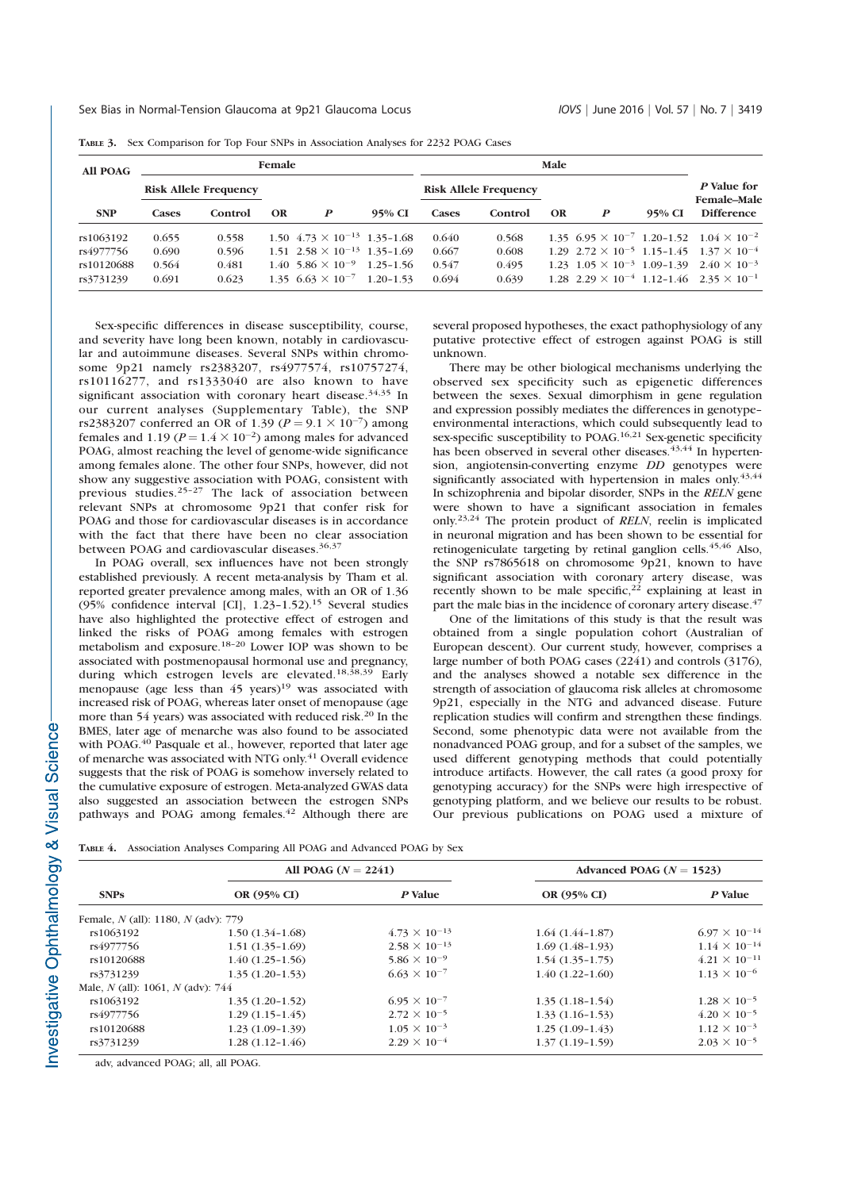| All POAG   |                              | Female  |           |                                                 |                              | Male  |         |           |   |             |                                                                  |
|------------|------------------------------|---------|-----------|-------------------------------------------------|------------------------------|-------|---------|-----------|---|-------------|------------------------------------------------------------------|
|            | <b>Risk Allele Frequency</b> |         |           |                                                 | <b>Risk Allele Frequency</b> |       |         |           |   | P Value for |                                                                  |
| <b>SNP</b> | Cases                        | Control | <b>OR</b> | P                                               | 95% CI                       | Cases | Control | <b>OR</b> | P | 95% CI      | <b>Female-Male</b><br><b>Difference</b>                          |
| rs1063192  | 0.655                        | 0.558   |           | 1.50 $4.73 \times 10^{-13}$ 1.35-1.68           |                              | 0.640 | 0.568   |           |   |             | 1.35 $6.95 \times 10^{-7}$ 1.20-1.52 $1.04 \times 10^{-2}$       |
| rs4977756  | 0.690                        | 0.596   |           | $1.51 \t2.58 \times 10^{-13} \t1.35-1.69$       |                              | 0.667 | 0.608   |           |   |             | $1.29$ $2.72 \times 10^{-5}$ $1.15 - 1.45$ $1.37 \times 10^{-4}$ |
| rs10120688 | 0.564                        | 0.481   |           | $1.40$ 5.86 $\times$ 10 <sup>-9</sup> 1.25-1.56 |                              | 0.547 | 0.495   |           |   |             | 1.23 $1.05 \times 10^{-3}$ 1.09-1.39 $2.40 \times 10^{-3}$       |
| rs3731239  | 0.691                        | 0.623   |           | 1.35 $6.63 \times 10^{-7}$ 1.20-1.53            |                              | 0.694 | 0.639   |           |   |             | 1.28 $2.29 \times 10^{-4}$ 1.12-1.46 $2.35 \times 10^{-1}$       |

TABLE 3. Sex Comparison for Top Four SNPs in Association Analyses for 2232 POAG Cases

Sex-specific differences in disease susceptibility, course, and severity have long been known, notably in cardiovascular and autoimmune diseases. Several SNPs within chromosome 9p21 namely rs2383207, rs4977574, rs10757274, rs10116277, and rs1333040 are also known to have significant association with coronary heart disease.<sup>34,35</sup> In our current analyses (Supplementary Table), the SNP rs2383207 conferred an OR of 1.39 ( $P = 9.1 \times 10^{-7}$ ) among<br>females and 1.19 ( $P = 1.4 \times 10^{-2}$ ) among males for advanced females and  $1.19 (P = 1.4 \times 10^{-2})$  among males for advanced<br>POAG almost reaching the level of genome-wide significance POAG, almost reaching the level of genome-wide significance among females alone. The other four SNPs, however, did not show any suggestive association with POAG, consistent with previous studies.25–27 The lack of association between relevant SNPs at chromosome 9p21 that confer risk for POAG and those for cardiovascular diseases is in accordance with the fact that there have been no clear association between POAG and cardiovascular diseases.<sup>36,3</sup>

In POAG overall, sex influences have not been strongly established previously. A recent meta-analysis by Tham et al. reported greater prevalence among males, with an OR of 1.36 (95% confidence interval [CI], 1.23–1.52).15 Several studies have also highlighted the protective effect of estrogen and linked the risks of POAG among females with estrogen metabolism and exposure.<sup>18–20</sup> Lower IOP was shown to be associated with postmenopausal hormonal use and pregnancy, during which estrogen levels are elevated.18,38,39 Early menopause (age less than 45 years)<sup>19</sup> was associated with increased risk of POAG, whereas later onset of menopause (age more than 54 years) was associated with reduced risk.<sup>20</sup> In the BMES, later age of menarche was also found to be associated with POAG.<sup>40</sup> Pasquale et al., however, reported that later age of menarche was associated with NTG only.41 Overall evidence suggests that the risk of POAG is somehow inversely related to the cumulative exposure of estrogen. Meta-analyzed GWAS data also suggested an association between the estrogen SNPs pathways and POAG among females.<sup>42</sup> Although there are several proposed hypotheses, the exact pathophysiology of any putative protective effect of estrogen against POAG is still unknown.

There may be other biological mechanisms underlying the observed sex specificity such as epigenetic differences between the sexes. Sexual dimorphism in gene regulation and expression possibly mediates the differences in genotype– environmental interactions, which could subsequently lead to sex-specific susceptibility to POAG.<sup>16,21</sup> Sex-genetic specificity has been observed in several other diseases.<sup>43,44</sup> In hypertension, angiotensin-converting enzyme DD genotypes were significantly associated with hypertension in males only. $43,44$ In schizophrenia and bipolar disorder, SNPs in the RELN gene were shown to have a significant association in females only.23,24 The protein product of RELN, reelin is implicated in neuronal migration and has been shown to be essential for retinogeniculate targeting by retinal ganglion cells.<sup>45,46</sup> Also, the SNP rs7865618 on chromosome 9p21, known to have significant association with coronary artery disease, was recently shown to be male specific,  $2^2$  explaining at least in part the male bias in the incidence of coronary artery disease.<sup>47</sup>

One of the limitations of this study is that the result was obtained from a single population cohort (Australian of European descent). Our current study, however, comprises a large number of both POAG cases (2241) and controls (3176), and the analyses showed a notable sex difference in the strength of association of glaucoma risk alleles at chromosome 9p21, especially in the NTG and advanced disease. Future replication studies will confirm and strengthen these findings. Second, some phenotypic data were not available from the nonadvanced POAG group, and for a subset of the samples, we used different genotyping methods that could potentially introduce artifacts. However, the call rates (a good proxy for genotyping accuracy) for the SNPs were high irrespective of genotyping platform, and we believe our results to be robust. Our previous publications on POAG used a mixture of

TABLE 4. Association Analyses Comparing All POAG and Advanced POAG by Sex

|                                       | All POAG $(N = 2241)$ |                        | Advanced POAG $(N = 1523)$ |                        |  |
|---------------------------------------|-----------------------|------------------------|----------------------------|------------------------|--|
| <b>SNPs</b>                           | OR (95% CI)           | P Value                | OR (95% CI)                | P Value                |  |
| Female, N (all): 1180, N (adv): 779   |                       |                        |                            |                        |  |
| rs1063192                             | $1.50(1.34-1.68)$     | $4.73 \times 10^{-13}$ | $1.64(1.44 - 1.87)$        | $6.97 \times 10^{-14}$ |  |
| rs4977756                             | $1.51(1.35-1.69)$     | $2.58 \times 10^{-13}$ | $1.69(1.48-1.93)$          | $1.14 \times 10^{-14}$ |  |
| rs10120688                            | $1.40(1.25-1.56)$     | $5.86 \times 10^{-9}$  | $1.54(1.35-1.75)$          | $4.21 \times 10^{-11}$ |  |
| rs3731239                             | $1.35(1.20-1.53)$     | $6.63 \times 10^{-7}$  | $1.40(1.22 - 1.60)$        | $1.13 \times 10^{-6}$  |  |
| Male, $N$ (all): 1061, $N$ (adv): 744 |                       |                        |                            |                        |  |
| rs1063192                             | $1.35(1.20-1.52)$     | $6.95 \times 10^{-7}$  | $1.35(1.18-1.54)$          | $1.28 \times 10^{-5}$  |  |
| rs4977756                             | $1.29(1.15-1.45)$     | $2.72 \times 10^{-5}$  | $1.33(1.16-1.53)$          | $4.20 \times 10^{-5}$  |  |
| rs10120688                            | $1.23(1.09-1.39)$     | $1.05 \times 10^{-3}$  | $1.25(1.09-1.43)$          | $1.12 \times 10^{-3}$  |  |
| rs3731239                             | $1.28(1.12 - 1.46)$   | $2.29 \times 10^{-4}$  | $1.37(1.19-1.59)$          | $2.03 \times 10^{-5}$  |  |

adv, advanced POAG; all, all POAG.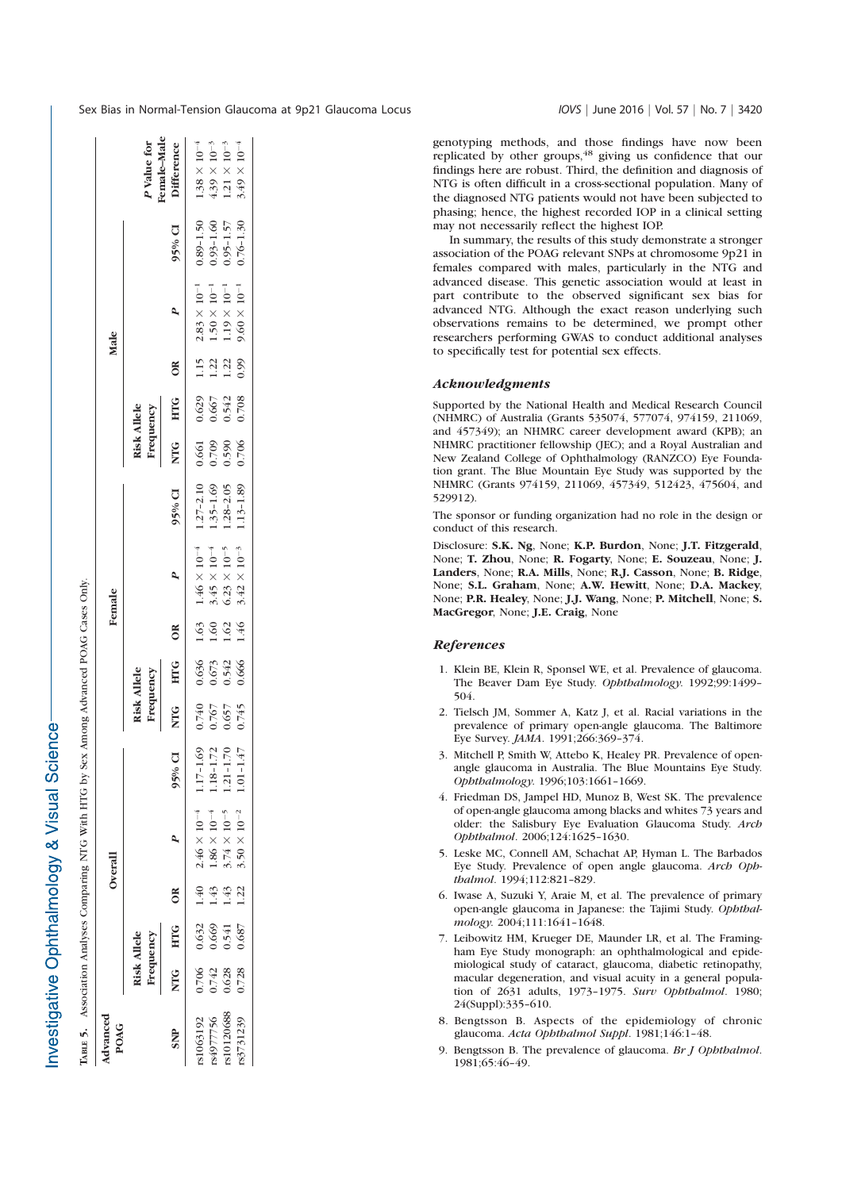nvestigative Ophthalmology & Visual Science

ABLE 5. Association Analyses Comparing NTG With HTG by Sex Among Advanced POAG Cases Only.

Association Analyses Comparing NTG With HTG by Sex Among Advanced POAG Cases Only

Тавце 5.

|                         | emale-Male<br><sup>p</sup> Value for | Difference        | $1.38\times10^{-4}$                           | $4.39 \times 10^{-3}$ | $1.21\times10^{-3}$                            | $3.49\times10^{-4}$   |
|-------------------------|--------------------------------------|-------------------|-----------------------------------------------|-----------------------|------------------------------------------------|-----------------------|
|                         |                                      | 95% CI            | $0.89 - 1.50$                                 | $0.93 - 1.60$         | $0.95 - 1.57$                                  | $0.76 - 1.30$         |
| Male                    |                                      | ۹                 | $2.83\times10^{-1}$                           | $1.50\times10^{-1}$   | $1.19\times10^{-1}$                            | $9.60 \times 10^{-1}$ |
|                         |                                      | ÕŘ                | 1.15                                          | 1.22                  | 1.22                                           | 0.99                  |
|                         |                                      |                   | 0.629                                         | 0.667                 | 0.542                                          | 0.708                 |
|                         | <b>Risk Allele</b><br>Frequency      | NTG HTG           | 0.661                                         | 0.709                 | 0.590                                          | 0.706                 |
|                         |                                      | 95% CI            | $1.27 - 2.10$                                 | $1.35 - 1.69$         | $1.28 - 2.05$                                  | $1.13 - 1.89$         |
| Female                  |                                      |                   | $1.46\times10^{-4}$                           | $3.45\times10^{-4}$   | $6.23\times10^{-5}$                            | $3.42\times10^{-3}$   |
|                         | <b>Risk Allele</b><br>Frequency      | ă                 | 1.63                                          | 1.60                  | 1.62                                           | 1.46                  |
|                         |                                      | <b>HTG</b>        | 0.636                                         | 0.673<br>0.542        |                                                | 0.666                 |
|                         |                                      | NTG<br>Z          | 0.740                                         | 0.767                 | 0.657                                          | 0.745                 |
| Overall                 |                                      | 95% CI            |                                               | $1.18 - 1.72$         | $1.21 - 1.70$                                  | $1.01 - 1.47$         |
|                         |                                      | A                 | 1.40 2.46 $\times$ 10 <sup>-4</sup> 1.17-1.69 | $1.86\times10^{-4}$   | $3.74 \times 10^{-5}$<br>$3.50 \times 10^{-2}$ |                       |
|                         |                                      | $\tilde{c}$       |                                               | 1.43                  | 1.43                                           | 1.22                  |
|                         |                                      | NTG<br>HTG<br>HTG | 0.632                                         | 0.669                 | 0.541                                          | 0.687                 |
|                         | <b>Risk Allele</b><br>Frequency      |                   | 0.706                                         | 0.742                 | 0.628                                          | 0.728                 |
| Advanced<br><b>POAG</b> |                                      | <b>SNIP</b>       | \$1063192                                     | 84977756              | \$10120688                                     | rs3731239             |

Sex Bias in Normal-Tension Glaucoma at 9p21 Glaucoma Locus IOVS | June 2016 | Vol. 57 | No. 7 | 3420

genotyping methods, and those findings have now been replicated by other groups, $48$  giving us confidence that our findings here are robust. Third, the definition and diagnosis of NTG is often difficult in a cross-sectional population. Many of the diagnosed NTG patients would not have been subjected to phasing; hence, the highest recorded IOP in a clinical setting may not necessarily reflect the highest IOP.

In summary, the results of this study demonstrate a stronger association of the POAG relevant SNPs at chromosome 9p21 in females compared with males, particularly in the NTG and advanced disease. This genetic association would at least in part contribute to the observed significant sex bias for advanced NTG. Although the exact reason underlying such observations remains to be determined, we prompt other researchers performing GWAS to conduct additional analyses to specifically test for potential sex effects.

### Acknowledgments

Supported by the National Health and Medical Research Council (NHMRC) of Australia (Grants 535074, 577074, 974159, 211069, and 457349); an NHMRC career development award (KPB); an NHMRC practitioner fellowship (JEC); and a Royal Australian and New Zealand College of Ophthalmology (RANZCO) Eye Foundation grant. The Blue Mountain Eye Study was supported by the NHMRC (Grants 974159, 211069, 457349, 512423, 475604, and 529912).

The sponsor or funding organization had no role in the design or conduct of this research.

Disclosure: S.K. Ng, None; K.P. Burdon, None; J.T. Fitzgerald, None; T. Zhou, None; R. Fogarty, None; E. Souzeau, None; J. Landers, None; R.A. Mills, None; R.J. Casson, None; B. Ridge, None; S.L. Graham, None; A.W. Hewitt, None; D.A. Mackey, None; P.R. Healey, None; J.J. Wang, None; P. Mitchell, None; S. MacGregor, None; J.E. Craig, None

## References

- 1. Klein BE, Klein R, Sponsel WE, et al. Prevalence of glaucoma. The Beaver Dam Eye Study. Ophthalmology. 1992;99:1499– 504.
- 2. Tielsch JM, Sommer A, Katz J, et al. Racial variations in the prevalence of primary open-angle glaucoma. The Baltimore Eye Survey. JAMA. 1991;266:369–374.
- 3. Mitchell P, Smith W, Attebo K, Healey PR. Prevalence of openangle glaucoma in Australia. The Blue Mountains Eye Study. Ophthalmology. 1996;103:1661–1669.
- 4. Friedman DS, Jampel HD, Munoz B, West SK. The prevalence of open-angle glaucoma among blacks and whites 73 years and older: the Salisbury Eye Evaluation Glaucoma Study. Arch Ophthalmol. 2006;124:1625–1630.
- 5. Leske MC, Connell AM, Schachat AP, Hyman L. The Barbados Eye Study. Prevalence of open angle glaucoma. Arch Ophthalmol. 1994;112:821–829.
- 6. Iwase A, Suzuki Y, Araie M, et al. The prevalence of primary open-angle glaucoma in Japanese: the Tajimi Study. Ophthalmology. 2004;111:1641–1648.
- 7. Leibowitz HM, Krueger DE, Maunder LR, et al. The Framingham Eye Study monograph: an ophthalmological and epidemiological study of cataract, glaucoma, diabetic retinopathy, macular degeneration, and visual acuity in a general population of 2631 adults, 1973–1975. Surv Ophthalmol. 1980; 24(Suppl):335–610.
- 8. Bengtsson B. Aspects of the epidemiology of chronic glaucoma. Acta Ophthalmol Suppl. 1981;146:1–48.
- 9. Bengtsson B. The prevalence of glaucoma. Br J Ophthalmol. 1981;65:46–49.